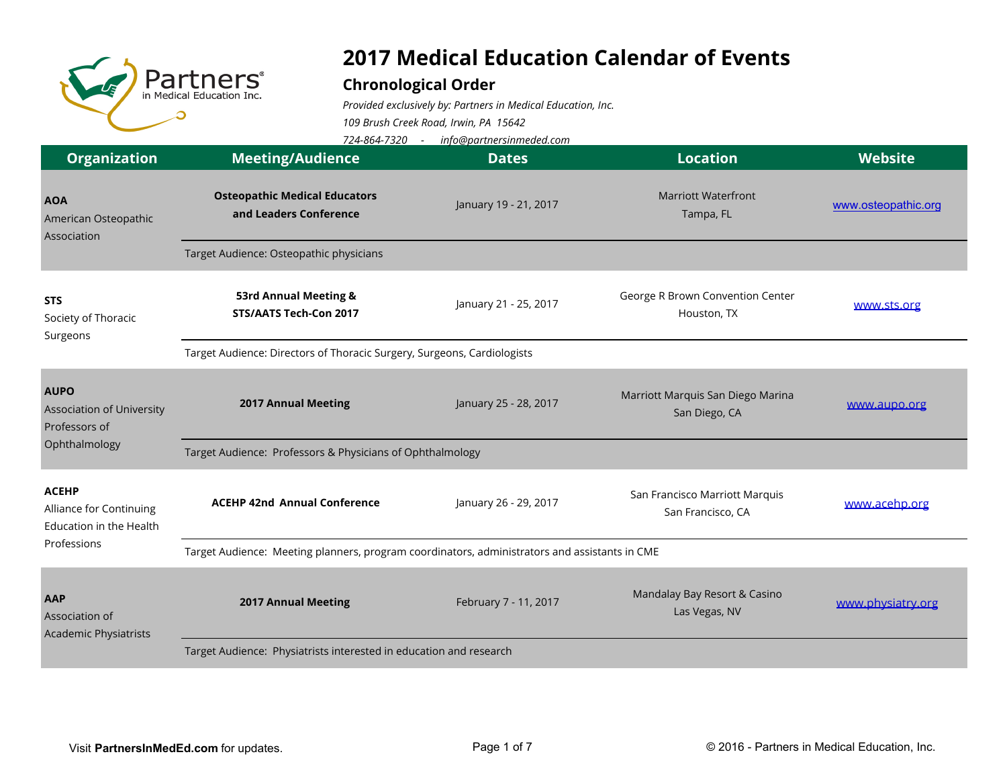

## **2017 Medical Education Calendar of Events**

## **Chronological Order**

*Provided exclusively by: Partners in Medical Education, Inc. 109 Brush Creek Road, Irwin, PA 15642*

*724-864-7320 - info@partnersinmeded.com*

| <b>Organization</b>                                                | <b>Meeting/Audience</b>                                                                       | <b>Dates</b>          | <b>Location</b>                                     | <b>Website</b>      |  |  |
|--------------------------------------------------------------------|-----------------------------------------------------------------------------------------------|-----------------------|-----------------------------------------------------|---------------------|--|--|
| <b>AOA</b><br>American Osteopathic<br>Association                  | <b>Osteopathic Medical Educators</b><br>and Leaders Conference                                | January 19 - 21, 2017 | <b>Marriott Waterfront</b><br>Tampa, FL             | www.osteopathic.org |  |  |
|                                                                    | Target Audience: Osteopathic physicians                                                       |                       |                                                     |                     |  |  |
| <b>STS</b><br>Society of Thoracic<br>Surgeons                      | 53rd Annual Meeting &<br>STS/AATS Tech-Con 2017                                               | January 21 - 25, 2017 | George R Brown Convention Center<br>Houston, TX     | www.sts.org         |  |  |
|                                                                    | Target Audience: Directors of Thoracic Surgery, Surgeons, Cardiologists                       |                       |                                                     |                     |  |  |
| <b>AUPO</b><br><b>Association of University</b><br>Professors of   | <b>2017 Annual Meeting</b>                                                                    | January 25 - 28, 2017 | Marriott Marquis San Diego Marina<br>San Diego, CA  | www.aupo.org        |  |  |
| Ophthalmology                                                      | Target Audience: Professors & Physicians of Ophthalmology                                     |                       |                                                     |                     |  |  |
| <b>ACEHP</b><br>Alliance for Continuing<br>Education in the Health | <b>ACEHP 42nd Annual Conference</b>                                                           | January 26 - 29, 2017 | San Francisco Marriott Marquis<br>San Francisco, CA | www.acehp.org       |  |  |
| Professions                                                        | Target Audience: Meeting planners, program coordinators, administrators and assistants in CME |                       |                                                     |                     |  |  |
| AAP<br>Association of<br><b>Academic Physiatrists</b>              | <b>2017 Annual Meeting</b>                                                                    | February 7 - 11, 2017 | Mandalay Bay Resort & Casino<br>Las Vegas, NV       | www.physiatry.org   |  |  |
|                                                                    | Target Audience: Physiatrists interested in education and research                            |                       |                                                     |                     |  |  |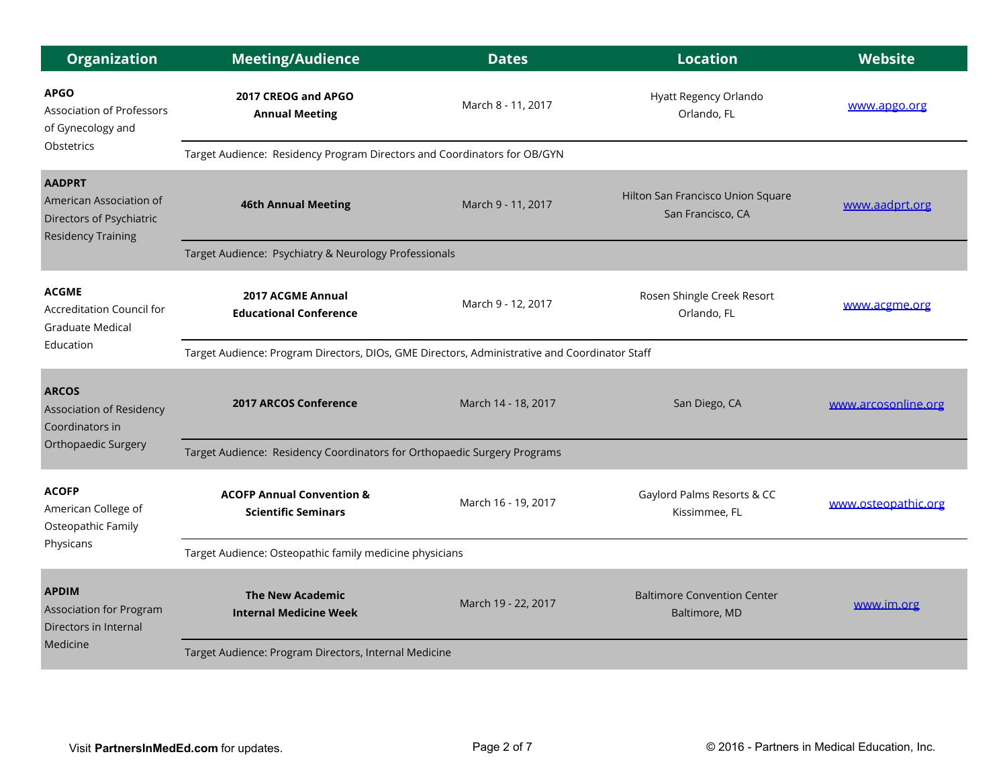| <b>Organization</b>                                                                               | <b>Meeting/Audience</b>                                                                       | <b>Dates</b>        | <b>Location</b>                                        | <b>Website</b>      |  |  |
|---------------------------------------------------------------------------------------------------|-----------------------------------------------------------------------------------------------|---------------------|--------------------------------------------------------|---------------------|--|--|
| <b>APGO</b><br><b>Association of Professors</b><br>of Gynecology and                              | 2017 CREOG and APGO<br><b>Annual Meeting</b>                                                  | March 8 - 11, 2017  | Hyatt Regency Orlando<br>Orlando, FL                   | www.apgo.org        |  |  |
| Obstetrics                                                                                        | Target Audience: Residency Program Directors and Coordinators for OB/GYN                      |                     |                                                        |                     |  |  |
| <b>AADPRT</b><br>American Association of<br>Directors of Psychiatric<br><b>Residency Training</b> | <b>46th Annual Meeting</b>                                                                    | March 9 - 11, 2017  | Hilton San Francisco Union Square<br>San Francisco, CA | www.aadprt.org      |  |  |
|                                                                                                   | Target Audience: Psychiatry & Neurology Professionals                                         |                     |                                                        |                     |  |  |
| <b>ACGME</b><br>Accreditation Council for<br>Graduate Medical                                     | 2017 ACGME Annual<br><b>Educational Conference</b>                                            | March 9 - 12, 2017  | Rosen Shingle Creek Resort<br>Orlando, FL              | www.acgme.org       |  |  |
| Education                                                                                         | Target Audience: Program Directors, DIOs, GME Directors, Administrative and Coordinator Staff |                     |                                                        |                     |  |  |
| <b>ARCOS</b><br><b>Association of Residency</b><br>Coordinators in                                | <b>2017 ARCOS Conference</b>                                                                  | March 14 - 18, 2017 | San Diego, CA                                          | www.arcosonline.org |  |  |
| Orthopaedic Surgery                                                                               | Target Audience: Residency Coordinators for Orthopaedic Surgery Programs                      |                     |                                                        |                     |  |  |
| <b>ACOFP</b><br>American College of<br>Osteopathic Family<br>Physicans                            | <b>ACOFP Annual Convention &amp;</b><br><b>Scientific Seminars</b>                            | March 16 - 19, 2017 | Gaylord Palms Resorts & CC<br>Kissimmee, FL            | www.osteopathic.org |  |  |
|                                                                                                   | Target Audience: Osteopathic family medicine physicians                                       |                     |                                                        |                     |  |  |
| <b>APDIM</b><br><b>Association for Program</b><br>Directors in Internal<br>Medicine               | <b>The New Academic</b><br><b>Internal Medicine Week</b>                                      | March 19 - 22, 2017 | <b>Baltimore Convention Center</b><br>Baltimore, MD    | www.im.org          |  |  |
|                                                                                                   | Target Audience: Program Directors, Internal Medicine                                         |                     |                                                        |                     |  |  |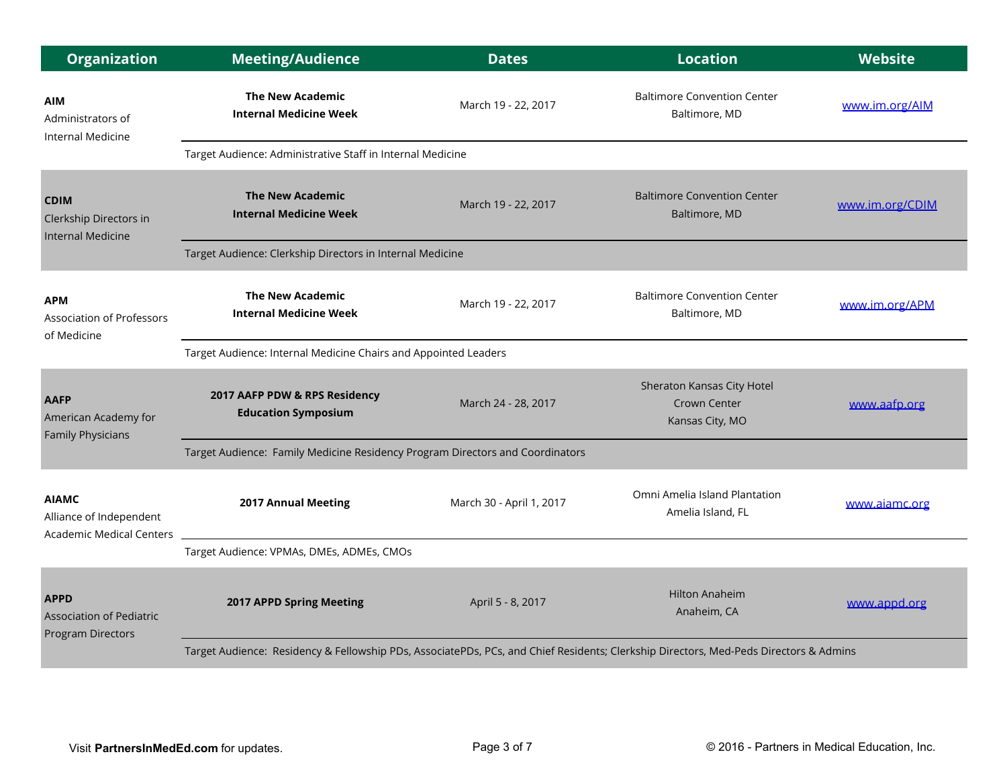| <b>Organization</b>                                                        | <b>Meeting/Audience</b>                                                                                                               | <b>Dates</b>             | <b>Location</b>                                               | <b>Website</b>  |  |  |
|----------------------------------------------------------------------------|---------------------------------------------------------------------------------------------------------------------------------------|--------------------------|---------------------------------------------------------------|-----------------|--|--|
| <b>AIM</b><br>Administrators of<br>Internal Medicine                       | <b>The New Academic</b><br><b>Internal Medicine Week</b>                                                                              | March 19 - 22, 2017      | <b>Baltimore Convention Center</b><br>Baltimore, MD           | www.im.org/AIM  |  |  |
|                                                                            | Target Audience: Administrative Staff in Internal Medicine                                                                            |                          |                                                               |                 |  |  |
| <b>CDIM</b><br>Clerkship Directors in<br><b>Internal Medicine</b>          | <b>The New Academic</b><br><b>Internal Medicine Week</b>                                                                              | March 19 - 22, 2017      | <b>Baltimore Convention Center</b><br>Baltimore, MD           | www.im.org/CDIM |  |  |
|                                                                            | Target Audience: Clerkship Directors in Internal Medicine                                                                             |                          |                                                               |                 |  |  |
| <b>APM</b><br><b>Association of Professors</b><br>of Medicine              | <b>The New Academic</b><br><b>Internal Medicine Week</b>                                                                              | March 19 - 22, 2017      | <b>Baltimore Convention Center</b><br>Baltimore, MD           | www.im.org/APM  |  |  |
|                                                                            | Target Audience: Internal Medicine Chairs and Appointed Leaders                                                                       |                          |                                                               |                 |  |  |
| <b>AAFP</b><br>American Academy for<br><b>Family Physicians</b>            | 2017 AAFP PDW & RPS Residency<br><b>Education Symposium</b>                                                                           | March 24 - 28, 2017      | Sheraton Kansas City Hotel<br>Crown Center<br>Kansas City, MO | www.aafp.org    |  |  |
|                                                                            | Target Audience: Family Medicine Residency Program Directors and Coordinators                                                         |                          |                                                               |                 |  |  |
| <b>AIAMC</b><br>Alliance of Independent<br><b>Academic Medical Centers</b> | 2017 Annual Meeting                                                                                                                   | March 30 - April 1, 2017 | Omni Amelia Island Plantation<br>Amelia Island, FL            | www.aiamc.org   |  |  |
|                                                                            | Target Audience: VPMAs, DMEs, ADMEs, CMOs                                                                                             |                          |                                                               |                 |  |  |
| <b>APPD</b><br><b>Association of Pediatric</b><br><b>Program Directors</b> | 2017 APPD Spring Meeting                                                                                                              | April 5 - 8, 2017        | <b>Hilton Anaheim</b><br>Anaheim, CA                          | www.appd.org    |  |  |
|                                                                            | Target Audience: Residency & Fellowship PDs, AssociatePDs, PCs, and Chief Residents; Clerkship Directors, Med-Peds Directors & Admins |                          |                                                               |                 |  |  |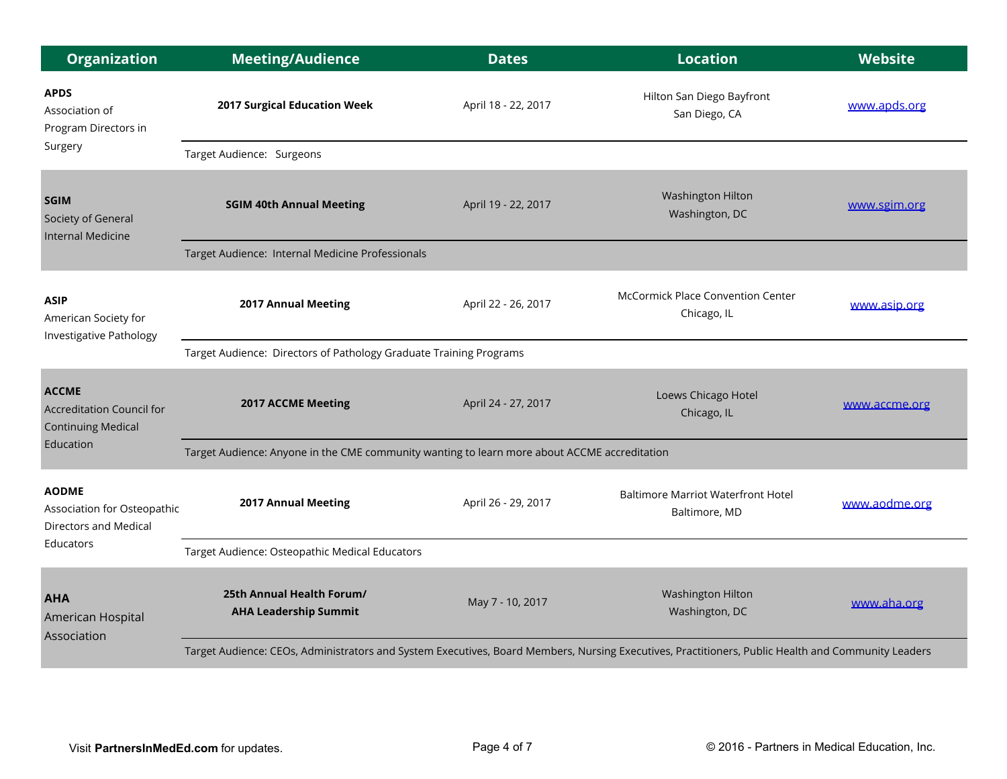| <b>Organization</b>                                                                      | <b>Meeting/Audience</b>                                                                                                                            | <b>Dates</b>        | <b>Location</b>                                            | <b>Website</b> |  |  |
|------------------------------------------------------------------------------------------|----------------------------------------------------------------------------------------------------------------------------------------------------|---------------------|------------------------------------------------------------|----------------|--|--|
| <b>APDS</b><br>Association of<br>Program Directors in                                    | 2017 Surgical Education Week                                                                                                                       | April 18 - 22, 2017 | Hilton San Diego Bayfront<br>San Diego, CA                 | www.apds.org   |  |  |
| Surgery                                                                                  | Target Audience: Surgeons                                                                                                                          |                     |                                                            |                |  |  |
| <b>SGIM</b><br>Society of General<br><b>Internal Medicine</b>                            | <b>SGIM 40th Annual Meeting</b>                                                                                                                    | April 19 - 22, 2017 | Washington Hilton<br>Washington, DC                        | www.sgim.org   |  |  |
|                                                                                          | Target Audience: Internal Medicine Professionals                                                                                                   |                     |                                                            |                |  |  |
| <b>ASIP</b><br>American Society for<br><b>Investigative Pathology</b>                    | 2017 Annual Meeting                                                                                                                                | April 22 - 26, 2017 | <b>McCormick Place Convention Center</b><br>Chicago, IL    | www.asip.org   |  |  |
|                                                                                          | Target Audience: Directors of Pathology Graduate Training Programs                                                                                 |                     |                                                            |                |  |  |
| <b>ACCME</b><br>Accreditation Council for<br><b>Continuing Medical</b>                   | <b>2017 ACCME Meeting</b>                                                                                                                          | April 24 - 27, 2017 | Loews Chicago Hotel<br>Chicago, IL                         | www.accme.org  |  |  |
| Education                                                                                | Target Audience: Anyone in the CME community wanting to learn more about ACCME accreditation                                                       |                     |                                                            |                |  |  |
| <b>AODME</b><br>Association for Osteopathic<br><b>Directors and Medical</b><br>Educators | 2017 Annual Meeting                                                                                                                                | April 26 - 29, 2017 | <b>Baltimore Marriot Waterfront Hotel</b><br>Baltimore, MD | www.aodme.org  |  |  |
|                                                                                          | Target Audience: Osteopathic Medical Educators                                                                                                     |                     |                                                            |                |  |  |
| <b>AHA</b><br>American Hospital<br>Association                                           | 25th Annual Health Forum/<br><b>AHA Leadership Summit</b>                                                                                          | May 7 - 10, 2017    | Washington Hilton<br>Washington, DC                        | www.aha.org    |  |  |
|                                                                                          | Target Audience: CEOs, Administrators and System Executives, Board Members, Nursing Executives, Practitioners, Public Health and Community Leaders |                     |                                                            |                |  |  |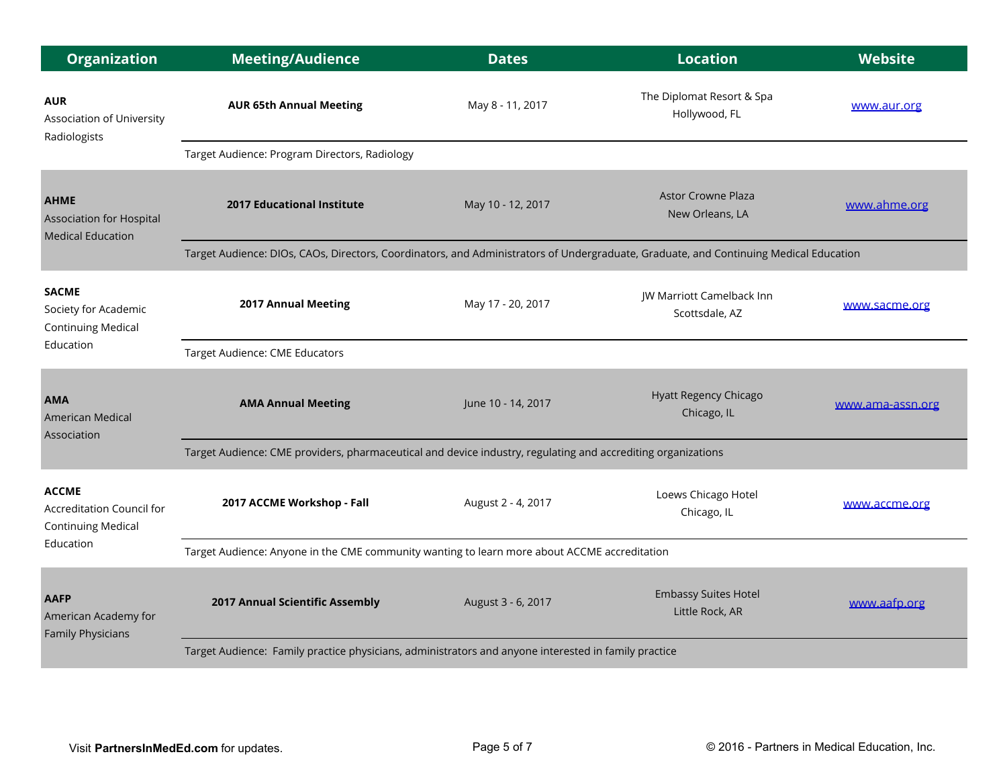| <b>Organization</b>                                                                 | <b>Meeting/Audience</b>                                                                                                               | <b>Dates</b>       | <b>Location</b>                                | <b>Website</b>   |  |
|-------------------------------------------------------------------------------------|---------------------------------------------------------------------------------------------------------------------------------------|--------------------|------------------------------------------------|------------------|--|
| <b>AUR</b><br>Association of University<br>Radiologists                             | <b>AUR 65th Annual Meeting</b>                                                                                                        | May 8 - 11, 2017   | The Diplomat Resort & Spa<br>Hollywood, FL     | www.aur.org      |  |
|                                                                                     | Target Audience: Program Directors, Radiology                                                                                         |                    |                                                |                  |  |
| <b>AHME</b><br><b>Association for Hospital</b><br><b>Medical Education</b>          | <b>2017 Educational Institute</b>                                                                                                     | May 10 - 12, 2017  | <b>Astor Crowne Plaza</b><br>New Orleans, LA   | www.ahme.org     |  |
|                                                                                     | Target Audience: DIOs, CAOs, Directors, Coordinators, and Administrators of Undergraduate, Graduate, and Continuing Medical Education |                    |                                                |                  |  |
| <b>SACME</b><br>Society for Academic<br><b>Continuing Medical</b>                   | 2017 Annual Meeting                                                                                                                   | May 17 - 20, 2017  | JW Marriott Camelback Inn<br>Scottsdale, AZ    | www.sacme.org    |  |
| Education                                                                           | Target Audience: CME Educators                                                                                                        |                    |                                                |                  |  |
| <b>AMA</b><br>American Medical<br>Association                                       | <b>AMA Annual Meeting</b>                                                                                                             | June 10 - 14, 2017 | Hyatt Regency Chicago<br>Chicago, IL           | www.ama-assn.org |  |
|                                                                                     | Target Audience: CME providers, pharmaceutical and device industry, regulating and accrediting organizations                          |                    |                                                |                  |  |
| <b>ACCME</b><br>Accreditation Council for<br><b>Continuing Medical</b><br>Education | 2017 ACCME Workshop - Fall                                                                                                            | August 2 - 4, 2017 | Loews Chicago Hotel<br>Chicago, IL             | www.accme.org    |  |
|                                                                                     | Target Audience: Anyone in the CME community wanting to learn more about ACCME accreditation                                          |                    |                                                |                  |  |
| <b>AAFP</b><br>American Academy for<br><b>Family Physicians</b>                     | 2017 Annual Scientific Assembly                                                                                                       | August 3 - 6, 2017 | <b>Embassy Suites Hotel</b><br>Little Rock, AR | www.aafp.org     |  |
|                                                                                     | Target Audience: Family practice physicians, administrators and anyone interested in family practice                                  |                    |                                                |                  |  |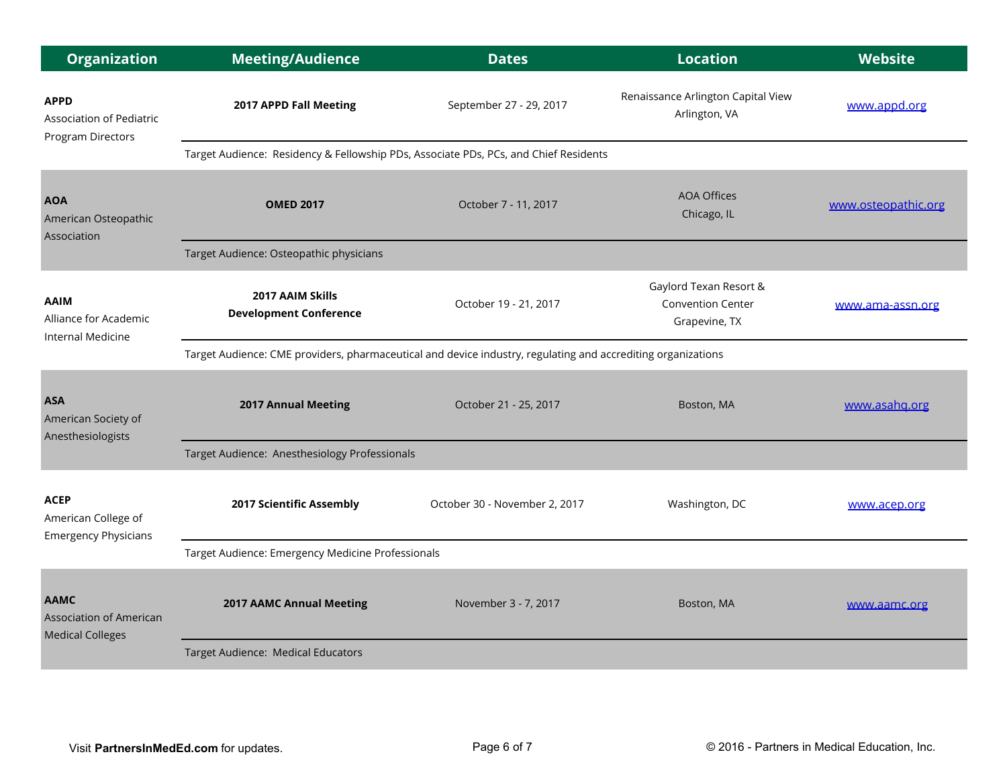| <b>Organization</b>                                                      | <b>Meeting/Audience</b>                                                                                      | <b>Dates</b>                  | <b>Location</b>                                                     | <b>Website</b>      |  |  |
|--------------------------------------------------------------------------|--------------------------------------------------------------------------------------------------------------|-------------------------------|---------------------------------------------------------------------|---------------------|--|--|
| <b>APPD</b><br><b>Association of Pediatric</b><br>Program Directors      | 2017 APPD Fall Meeting                                                                                       | September 27 - 29, 2017       | Renaissance Arlington Capital View<br>Arlington, VA                 | www.appd.org        |  |  |
|                                                                          | Target Audience: Residency & Fellowship PDs, Associate PDs, PCs, and Chief Residents                         |                               |                                                                     |                     |  |  |
| <b>AOA</b><br>American Osteopathic<br>Association                        | <b>OMED 2017</b>                                                                                             | October 7 - 11, 2017          | <b>AOA Offices</b><br>Chicago, IL                                   | www.osteopathic.org |  |  |
|                                                                          | Target Audience: Osteopathic physicians                                                                      |                               |                                                                     |                     |  |  |
| <b>AAIM</b><br>Alliance for Academic<br>Internal Medicine                | 2017 AAIM Skills<br><b>Development Conference</b>                                                            | October 19 - 21, 2017         | Gaylord Texan Resort &<br><b>Convention Center</b><br>Grapevine, TX | www.ama-assn.org    |  |  |
|                                                                          | Target Audience: CME providers, pharmaceutical and device industry, regulating and accrediting organizations |                               |                                                                     |                     |  |  |
| <b>ASA</b><br>American Society of<br>Anesthesiologists                   | <b>2017 Annual Meeting</b>                                                                                   | October 21 - 25, 2017         | Boston, MA                                                          | www.asahq.org       |  |  |
|                                                                          | Target Audience: Anesthesiology Professionals                                                                |                               |                                                                     |                     |  |  |
| <b>ACEP</b><br>American College of<br><b>Emergency Physicians</b>        | 2017 Scientific Assembly                                                                                     | October 30 - November 2, 2017 | Washington, DC                                                      | www.acep.org        |  |  |
|                                                                          | Target Audience: Emergency Medicine Professionals                                                            |                               |                                                                     |                     |  |  |
| <b>AAMC</b><br><b>Association of American</b><br><b>Medical Colleges</b> | <b>2017 AAMC Annual Meeting</b>                                                                              | November 3 - 7, 2017          | Boston, MA                                                          | www.aamc.org        |  |  |
|                                                                          | Target Audience: Medical Educators                                                                           |                               |                                                                     |                     |  |  |